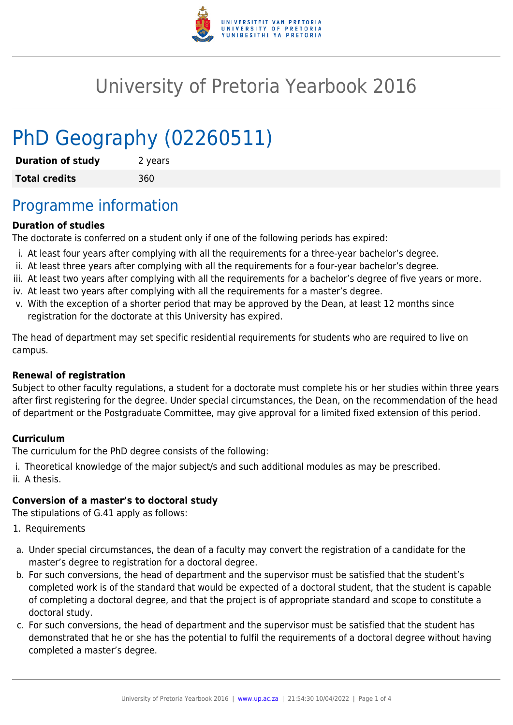

# University of Pretoria Yearbook 2016

# PhD Geography (02260511)

| <b>Duration of study</b> | 2 years |
|--------------------------|---------|
| <b>Total credits</b>     | 360     |

## Programme information

#### **Duration of studies**

The doctorate is conferred on a student only if one of the following periods has expired:

- i. At least four years after complying with all the requirements for a three-year bachelor's degree.
- ii. At least three years after complying with all the requirements for a four-year bachelor's degree.
- iii. At least two years after complying with all the requirements for a bachelor's degree of five years or more.
- iv. At least two years after complying with all the requirements for a master's degree.
- v. With the exception of a shorter period that may be approved by the Dean, at least 12 months since registration for the doctorate at this University has expired.

The head of department may set specific residential requirements for students who are required to live on campus.

#### **Renewal of registration**

Subject to other faculty regulations, a student for a doctorate must complete his or her studies within three years after first registering for the degree. Under special circumstances, the Dean, on the recommendation of the head of department or the Postgraduate Committee, may give approval for a limited fixed extension of this period.

#### **Curriculum**

The curriculum for the PhD degree consists of the following:

i. Theoretical knowledge of the major subject/s and such additional modules as may be prescribed. ii. A thesis.

#### **Conversion of a master's to doctoral study**

The stipulations of G.41 apply as follows:

- 1. Requirements
- a. Under special circumstances, the dean of a faculty may convert the registration of a candidate for the master's degree to registration for a doctoral degree.
- b. For such conversions, the head of department and the supervisor must be satisfied that the student's completed work is of the standard that would be expected of a doctoral student, that the student is capable of completing a doctoral degree, and that the project is of appropriate standard and scope to constitute a doctoral study.
- c. For such conversions, the head of department and the supervisor must be satisfied that the student has demonstrated that he or she has the potential to fulfil the requirements of a doctoral degree without having completed a master's degree.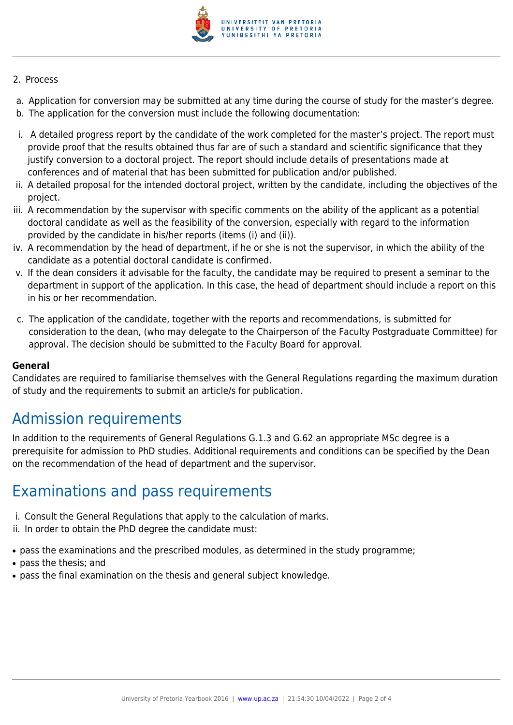

#### 2. Process

- a. Application for conversion may be submitted at any time during the course of study for the master's degree.
- b. The application for the conversion must include the following documentation:
- i. A detailed progress report by the candidate of the work completed for the master's project. The report must provide proof that the results obtained thus far are of such a standard and scientific significance that they justify conversion to a doctoral project. The report should include details of presentations made at conferences and of material that has been submitted for publication and/or published.
- ii. A detailed proposal for the intended doctoral project, written by the candidate, including the objectives of the project.
- iii. A recommendation by the supervisor with specific comments on the ability of the applicant as a potential doctoral candidate as well as the feasibility of the conversion, especially with regard to the information provided by the candidate in his/her reports (items (i) and (ii)).
- iv. A recommendation by the head of department, if he or she is not the supervisor, in which the ability of the candidate as a potential doctoral candidate is confirmed.
- v. If the dean considers it advisable for the faculty, the candidate may be required to present a seminar to the department in support of the application. In this case, the head of department should include a report on this in his or her recommendation.
- c. The application of the candidate, together with the reports and recommendations, is submitted for consideration to the dean, (who may delegate to the Chairperson of the Faculty Postgraduate Committee) for approval. The decision should be submitted to the Faculty Board for approval.

#### **General**

Candidates are required to familiarise themselves with the General Regulations regarding the maximum duration of study and the requirements to submit an article/s for publication.

## Admission requirements

In addition to the requirements of General Regulations G.1.3 and G.62 an appropriate MSc degree is a prerequisite for admission to PhD studies. Additional requirements and conditions can be specified by the Dean on the recommendation of the head of department and the supervisor.

### Examinations and pass requirements

- i. Consult the General Regulations that apply to the calculation of marks.
- ii. In order to obtain the PhD degree the candidate must:
- pass the examinations and the prescribed modules, as determined in the study programme;
- pass the thesis: and
- pass the final examination on the thesis and general subject knowledge.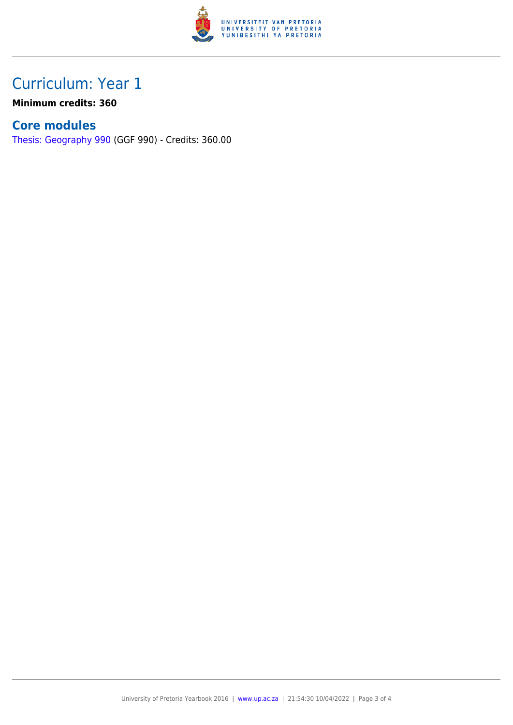

## Curriculum: Year 1

**Minimum credits: 360**

### **Core modules**

[Thesis: Geography 990](https://www.up.ac.za/faculty-of-education/yearbooks/2016/modules/view/GGF 990) (GGF 990) - Credits: 360.00